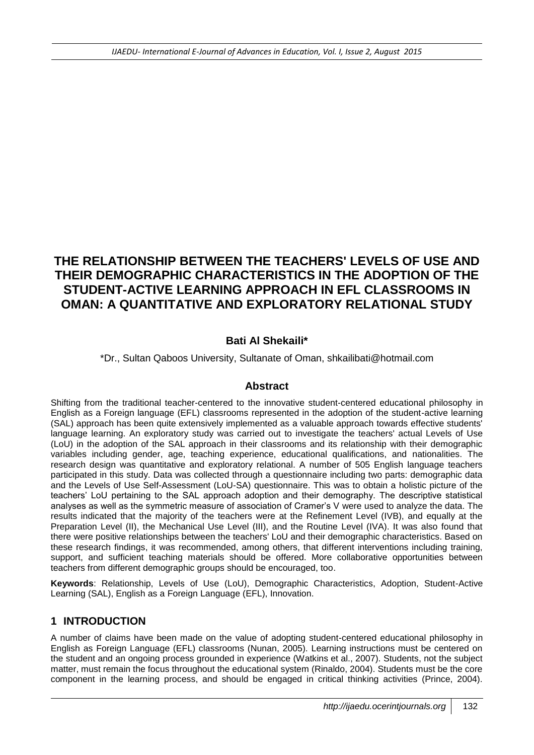# **THE RELATIONSHIP BETWEEN THE TEACHERS' LEVELS OF USE AND THEIR DEMOGRAPHIC CHARACTERISTICS IN THE ADOPTION OF THE STUDENT-ACTIVE LEARNING APPROACH IN EFL CLASSROOMS IN OMAN: A QUANTITATIVE AND EXPLORATORY RELATIONAL STUDY**

# **Bati Al Shekaili\***

### \*Dr., Sultan Qaboos University, Sultanate of Oman, shkailibati@hotmail.com

### **Abstract**

Shifting from the traditional teacher-centered to the innovative student-centered educational philosophy in English as a Foreign language (EFL) classrooms represented in the adoption of the student-active learning (SAL) approach has been quite extensively implemented as a valuable approach towards effective students' language learning. An exploratory study was carried out to investigate the teachers' actual Levels of Use (LoU) in the adoption of the SAL approach in their classrooms and its relationship with their demographic variables including gender, age, teaching experience, educational qualifications, and nationalities. The research design was quantitative and exploratory relational. A number of 505 English language teachers participated in this study. Data was collected through a questionnaire including two parts: demographic data and the Levels of Use Self-Assessment (LoU-SA) questionnaire. This was to obtain a holistic picture of the teachers' LoU pertaining to the SAL approach adoption and their demography. The descriptive statistical analyses as well as the symmetric measure of association of Cramer's V were used to analyze the data. The results indicated that the majority of the teachers were at the Refinement Level (IVB), and equally at the Preparation Level (II), the Mechanical Use Level (III), and the Routine Level (IVA). It was also found that there were positive relationships between the teachers' LoU and their demographic characteristics. Based on these research findings, it was recommended, among others, that different interventions including training, support, and sufficient teaching materials should be offered. More collaborative opportunities between teachers from different demographic groups should be encouraged, too.

**Keywords**: Relationship, Levels of Use (LoU), Demographic Characteristics, Adoption, Student-Active Learning (SAL), English as a Foreign Language (EFL), Innovation.

### **1 INTRODUCTION**

A number of claims have been made on the value of adopting student-centered educational philosophy in English as Foreign Language (EFL) classrooms (Nunan, 2005). Learning instructions must be centered on the student and an ongoing process grounded in experience (Watkins et al., 2007). Students, not the subject matter, must remain the focus throughout the educational system (Rinaldo, 2004). Students must be the core component in the learning process, and should be engaged in critical thinking activities (Prince, 2004).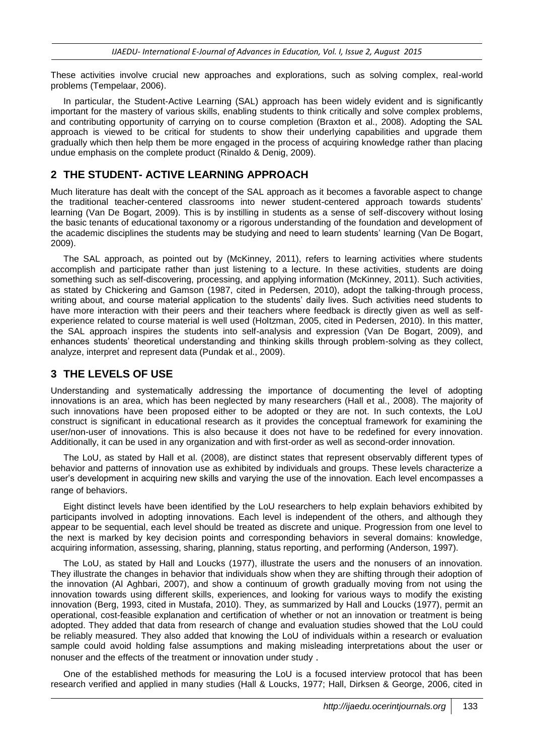These activities involve crucial new approaches and explorations, such as solving complex, real-world problems (Tempelaar, 2006).

In particular, the Student-Active Learning (SAL) approach has been widely evident and is significantly important for the mastery of various skills, enabling students to think critically and solve complex problems, and contributing opportunity of carrying on to course completion (Braxton et al., 2008). Adopting the SAL approach is viewed to be critical for students to show their underlying capabilities and upgrade them gradually which then help them be more engaged in the process of acquiring knowledge rather than placing undue emphasis on the complete product (Rinaldo & Denig, 2009).

# **2 THE STUDENT- ACTIVE LEARNING APPROACH**

Much literature has dealt with the concept of the SAL approach as it becomes a favorable aspect to change the traditional teacher-centered classrooms into newer student-centered approach towards students' learning (Van De Bogart, 2009). This is by instilling in students as a sense of self-discovery without losing the basic tenants of educational taxonomy or a rigorous understanding of the foundation and development of the academic disciplines the students may be studying and need to learn students' learning (Van De Bogart, 2009).

The SAL approach, as pointed out by (McKinney, 2011), refers to learning activities where students accomplish and participate rather than just listening to a lecture. In these activities, students are doing something such as self-discovering, processing, and applying information (McKinney, 2011). Such activities, as stated by Chickering and Gamson (1987, cited in Pedersen, 2010), adopt the talking-through process, writing about, and course material application to the students' daily lives. Such activities need students to have more interaction with their peers and their teachers where feedback is directly given as well as selfexperience related to course material is well used (Holtzman, 2005, cited in Pedersen, 2010). In this matter, the SAL approach inspires the students into self-analysis and expression (Van De Bogart, 2009), and enhances students' theoretical understanding and thinking skills through problem-solving as they collect, analyze, interpret and represent data (Pundak et al., 2009).

### **3 THE LEVELS OF USE**

Understanding and systematically addressing the importance of documenting the level of adopting innovations is an area, which has been neglected by many researchers (Hall et al., 2008). The majority of such innovations have been proposed either to be adopted or they are not. In such contexts, the LoU construct is significant in educational research as it provides the conceptual framework for examining the user/non-user of innovations. This is also because it does not have to be redefined for every innovation. Additionally, it can be used in any organization and with first-order as well as second-order innovation.

The LoU, as stated by Hall et al. (2008), are distinct states that represent observably different types of behavior and patterns of innovation use as exhibited by individuals and groups. These levels characterize a user's development in acquiring new skills and varying the use of the innovation. Each level encompasses a range of behaviors.

Eight distinct levels have been identified by the LoU researchers to help explain behaviors exhibited by participants involved in adopting innovations. Each level is independent of the others, and although they appear to be sequential, each level should be treated as discrete and unique. Progression from one level to the next is marked by key decision points and corresponding behaviors in several domains: knowledge, acquiring information, assessing, sharing, planning, status reporting, and performing (Anderson, 1997).

The LoU, as stated by Hall and Loucks (1977), illustrate the users and the nonusers of an innovation. They illustrate the changes in behavior that individuals show when they are shifting through their adoption of the innovation (Al Aghbari, 2007), and show a continuum of growth gradually moving from not using the innovation towards using different skills, experiences, and looking for various ways to modify the existing innovation (Berg, 1993, cited in Mustafa, 2010). They, as summarized by Hall and Loucks (1977), permit an operational, cost-feasible explanation and certification of whether or not an innovation or treatment is being adopted. They added that data from research of change and evaluation studies showed that the LoU could be reliably measured. They also added that knowing the LoU of individuals within a research or evaluation sample could avoid holding false assumptions and making misleading interpretations about the user or nonuser and the effects of the treatment or innovation under study .

One of the established methods for measuring the LoU is a focused interview protocol that has been research verified and applied in many studies (Hall & Loucks, 1977; Hall, Dirksen & George, 2006, cited in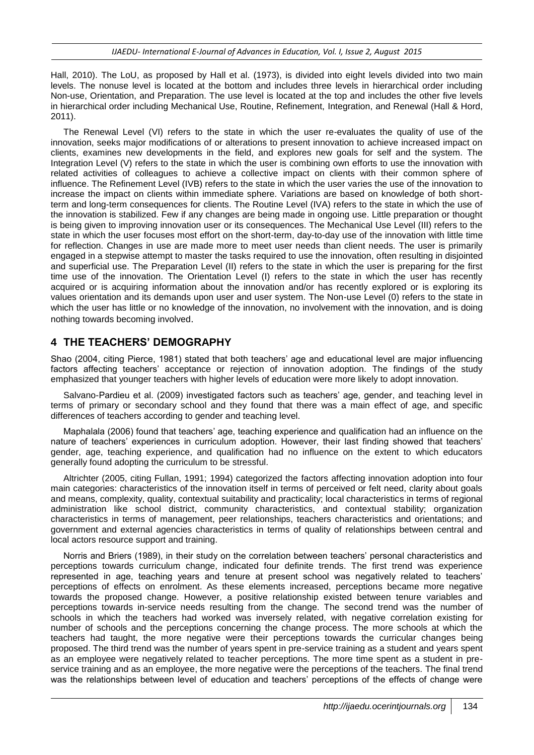Hall, 2010). The LoU, as proposed by Hall et al. (1973), is divided into eight levels divided into two main levels. The nonuse level is located at the bottom and includes three levels in hierarchical order including Non-use, Orientation, and Preparation. The use level is located at the top and includes the other five levels in hierarchical order including Mechanical Use, Routine, Refinement, Integration, and Renewal (Hall & Hord, 2011).

The Renewal Level (VI) refers to the state in which the user re-evaluates the quality of use of the innovation, seeks major modifications of or alterations to present innovation to achieve increased impact on clients, examines new developments in the field, and explores new goals for self and the system. The Integration Level (V) refers to the state in which the user is combining own efforts to use the innovation with related activities of colleagues to achieve a collective impact on clients with their common sphere of influence. The Refinement Level (IVB) refers to the state in which the user varies the use of the innovation to increase the impact on clients within immediate sphere. Variations are based on knowledge of both shortterm and long-term consequences for clients. The Routine Level (IVA) refers to the state in which the use of the innovation is stabilized. Few if any changes are being made in ongoing use. Little preparation or thought is being given to improving innovation user or its consequences. The Mechanical Use Level (III) refers to the state in which the user focuses most effort on the short-term, day-to-day use of the innovation with little time for reflection. Changes in use are made more to meet user needs than client needs. The user is primarily engaged in a stepwise attempt to master the tasks required to use the innovation, often resulting in disjointed and superficial use. The Preparation Level (II) refers to the state in which the user is preparing for the first time use of the innovation. The Orientation Level (I) refers to the state in which the user has recently acquired or is acquiring information about the innovation and/or has recently explored or is exploring its values orientation and its demands upon user and user system. The Non-use Level (0) refers to the state in which the user has little or no knowledge of the innovation, no involvement with the innovation, and is doing nothing towards becoming involved.

### **4 THE TEACHERS' DEMOGRAPHY**

Shao (2004, citing Pierce, 1981) stated that both teachers' age and educational level are major influencing factors affecting teachers' acceptance or rejection of innovation adoption. The findings of the study emphasized that younger teachers with higher levels of education were more likely to adopt innovation.

Salvano-Pardieu et al. (2009) investigated factors such as teachers' age, gender, and teaching level in terms of primary or secondary school and they found that there was a main effect of age, and specific differences of teachers according to gender and teaching level.

Maphalala (2006) found that teachers' age, teaching experience and qualification had an influence on the nature of teachers' experiences in curriculum adoption. However, their last finding showed that teachers' gender, age, teaching experience, and qualification had no influence on the extent to which educators generally found adopting the curriculum to be stressful.

Altrichter (2005, citing Fullan, 1991; 1994) categorized the factors affecting innovation adoption into four main categories: characteristics of the innovation itself in terms of perceived or felt need, clarity about goals and means, complexity, quality, contextual suitability and practicality; local characteristics in terms of regional administration like school district, community characteristics, and contextual stability; organization characteristics in terms of management, peer relationships, teachers characteristics and orientations; and government and external agencies characteristics in terms of quality of relationships between central and local actors resource support and training.

Norris and Briers (1989), in their study on the correlation between teachers' personal characteristics and perceptions towards curriculum change, indicated four definite trends. The first trend was experience represented in age, teaching years and tenure at present school was negatively related to teachers' perceptions of effects on enrolment. As these elements increased, perceptions became more negative towards the proposed change. However, a positive relationship existed between tenure variables and perceptions towards in-service needs resulting from the change. The second trend was the number of schools in which the teachers had worked was inversely related, with negative correlation existing for number of schools and the perceptions concerning the change process. The more schools at which the teachers had taught, the more negative were their perceptions towards the curricular changes being proposed. The third trend was the number of years spent in pre-service training as a student and years spent as an employee were negatively related to teacher perceptions. The more time spent as a student in preservice training and as an employee, the more negative were the perceptions of the teachers. The final trend was the relationships between level of education and teachers' perceptions of the effects of change were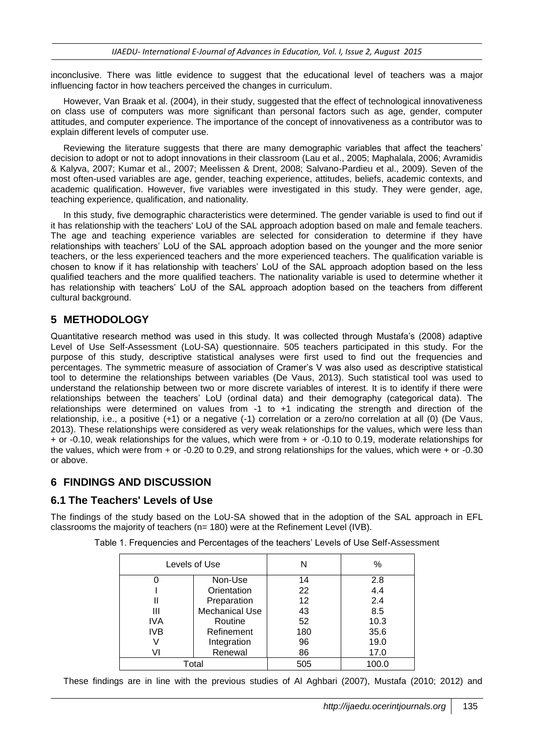inconclusive. There was little evidence to suggest that the educational level of teachers was a major influencing factor in how teachers perceived the changes in curriculum.

However, Van Braak et al. (2004), in their study, suggested that the effect of technological innovativeness on class use of computers was more significant than personal factors such as age, gender, computer attitudes, and computer experience. The importance of the concept of innovativeness as a contributor was to explain different levels of computer use.

Reviewing the literature suggests that there are many demographic variables that affect the teachers' decision to adopt or not to adopt innovations in their classroom (Lau et al., 2005; Maphalala, 2006; Avramidis & Kalyva, 2007; Kumar et al., 2007; Meelissen & Drent, 2008; Salvano-Pardieu et al., 2009). Seven of the most often-used variables are age, gender, teaching experience, attitudes, beliefs, academic contexts, and academic qualification. However, five variables were investigated in this study. They were gender, age, teaching experience, qualification, and nationality.

In this study, five demographic characteristics were determined. The gender variable is used to find out if it has relationship with the teachers' LoU of the SAL approach adoption based on male and female teachers. The age and teaching experience variables are selected for consideration to determine if they have relationships with teachers' LoU of the SAL approach adoption based on the younger and the more senior teachers, or the less experienced teachers and the more experienced teachers. The qualification variable is chosen to know if it has relationship with teachers' LoU of the SAL approach adoption based on the less qualified teachers and the more qualified teachers. The nationality variable is used to determine whether it has relationship with teachers' LoU of the SAL approach adoption based on the teachers from different cultural background.

# **5 METHODOLOGY**

Quantitative research method was used in this study. It was collected through Mustafa's (2008) adaptive Level of Use Self-Assessment (LoU-SA) questionnaire. 505 teachers participated in this study. For the purpose of this study, descriptive statistical analyses were first used to find out the frequencies and percentages. The symmetric measure of association of Cramer's V was also used as descriptive statistical tool to determine the relationships between variables (De Vaus, 2013). Such statistical tool was used to understand the relationship between two or more discrete variables of interest. It is to identify if there were relationships between the teachers' LoU (ordinal data) and their demography (categorical data). The relationships were determined on values from -1 to +1 indicating the strength and direction of the relationship, i.e., a positive (+1) or a negative (-1) correlation or a zero/no correlation at all (0) (De Vaus, 2013). These relationships were considered as very weak relationships for the values, which were less than + or -0.10, weak relationships for the values, which were from + or -0.10 to 0.19, moderate relationships for the values, which were from + or -0.20 to 0.29, and strong relationships for the values, which were + or -0.30 or above.

### **6 FINDINGS AND DISCUSSION**

#### **6.1 The Teachers' Levels of Use**

The findings of the study based on the LoU-SA showed that in the adoption of the SAL approach in EFL classrooms the majority of teachers ( $n= 180$ ) were at the Refinement Level (IVB).

| Table 1. Frequencies and Percentages of the teachers' Levels of Use Self-Assessment |
|-------------------------------------------------------------------------------------|
|-------------------------------------------------------------------------------------|

| Levels of Use |                       | N   | %     |
|---------------|-----------------------|-----|-------|
|               | Non-Use               | 14  | 2.8   |
|               | Orientation           | 22  | 4.4   |
|               | Preparation           | 12  | 2.4   |
| Ш             | <b>Mechanical Use</b> | 43  | 8.5   |
| IVA           | Routine               | 52  | 10.3  |
| <b>IVB</b>    | Refinement            | 180 | 35.6  |
|               | Integration           | 96  | 19.0  |
| VI            | Renewal               | 86  | 17.0  |
| Total         |                       | 505 | 100.0 |

These findings are in line with the previous studies of Al Aghbari (2007), Mustafa (2010; 2012) and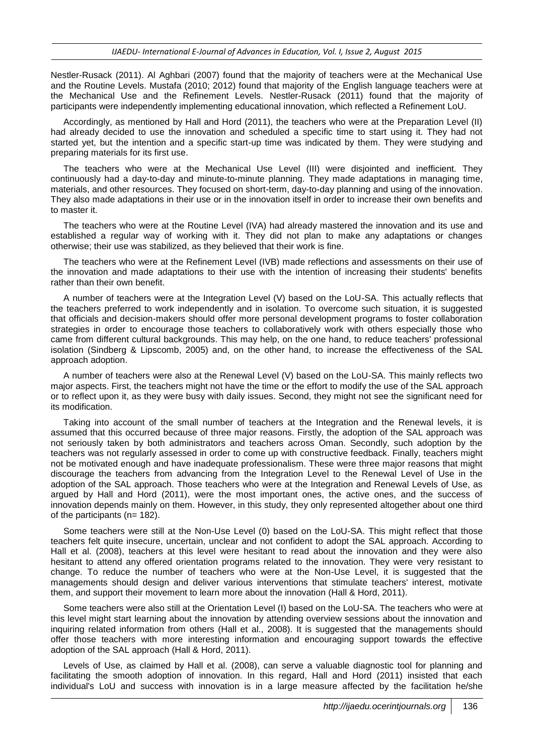Nestler-Rusack (2011). Al Aghbari (2007) found that the majority of teachers were at the Mechanical Use and the Routine Levels. Mustafa (2010; 2012) found that majority of the English language teachers were at the Mechanical Use and the Refinement Levels. Nestler-Rusack (2011) found that the majority of participants were independently implementing educational innovation, which reflected a Refinement LoU.

Accordingly, as mentioned by Hall and Hord (2011), the teachers who were at the Preparation Level (II) had already decided to use the innovation and scheduled a specific time to start using it. They had not started yet, but the intention and a specific start-up time was indicated by them. They were studying and preparing materials for its first use.

The teachers who were at the Mechanical Use Level (III) were disjointed and inefficient. They continuously had a day-to-day and minute-to-minute planning. They made adaptations in managing time, materials, and other resources. They focused on short-term, day-to-day planning and using of the innovation. They also made adaptations in their use or in the innovation itself in order to increase their own benefits and to master it.

The teachers who were at the Routine Level (IVA) had already mastered the innovation and its use and established a regular way of working with it. They did not plan to make any adaptations or changes otherwise; their use was stabilized, as they believed that their work is fine.

The teachers who were at the Refinement Level (IVB) made reflections and assessments on their use of the innovation and made adaptations to their use with the intention of increasing their students' benefits rather than their own benefit.

A number of teachers were at the Integration Level (V) based on the LoU-SA. This actually reflects that the teachers preferred to work independently and in isolation. To overcome such situation, it is suggested that officials and decision-makers should offer more personal development programs to foster collaboration strategies in order to encourage those teachers to collaboratively work with others especially those who came from different cultural backgrounds. This may help, on the one hand, to reduce teachers' professional isolation (Sindberg & Lipscomb, 2005) and, on the other hand, to increase the effectiveness of the SAL approach adoption.

A number of teachers were also at the Renewal Level (V) based on the LoU-SA. This mainly reflects two major aspects. First, the teachers might not have the time or the effort to modify the use of the SAL approach or to reflect upon it, as they were busy with daily issues. Second, they might not see the significant need for its modification.

Taking into account of the small number of teachers at the Integration and the Renewal levels, it is assumed that this occurred because of three major reasons. Firstly, the adoption of the SAL approach was not seriously taken by both administrators and teachers across Oman. Secondly, such adoption by the teachers was not regularly assessed in order to come up with constructive feedback. Finally, teachers might not be motivated enough and have inadequate professionalism. These were three major reasons that might discourage the teachers from advancing from the Integration Level to the Renewal Level of Use in the adoption of the SAL approach. Those teachers who were at the Integration and Renewal Levels of Use, as argued by Hall and Hord (2011), were the most important ones, the active ones, and the success of innovation depends mainly on them. However, in this study, they only represented altogether about one third of the participants (n= 182).

Some teachers were still at the Non-Use Level (0) based on the LoU-SA. This might reflect that those teachers felt quite insecure, uncertain, unclear and not confident to adopt the SAL approach. According to Hall et al. (2008), teachers at this level were hesitant to read about the innovation and they were also hesitant to attend any offered orientation programs related to the innovation. They were very resistant to change. To reduce the number of teachers who were at the Non-Use Level, it is suggested that the managements should design and deliver various interventions that stimulate teachers' interest, motivate them, and support their movement to learn more about the innovation (Hall & Hord, 2011).

Some teachers were also still at the Orientation Level (I) based on the LoU-SA. The teachers who were at this level might start learning about the innovation by attending overview sessions about the innovation and inquiring related information from others (Hall et al., 2008). It is suggested that the managements should offer those teachers with more interesting information and encouraging support towards the effective adoption of the SAL approach (Hall & Hord, 2011).

Levels of Use, as claimed by Hall et al. (2008), can serve a valuable diagnostic tool for planning and facilitating the smooth adoption of innovation. In this regard, Hall and Hord (2011) insisted that each individual's LoU and success with innovation is in a large measure affected by the facilitation he/she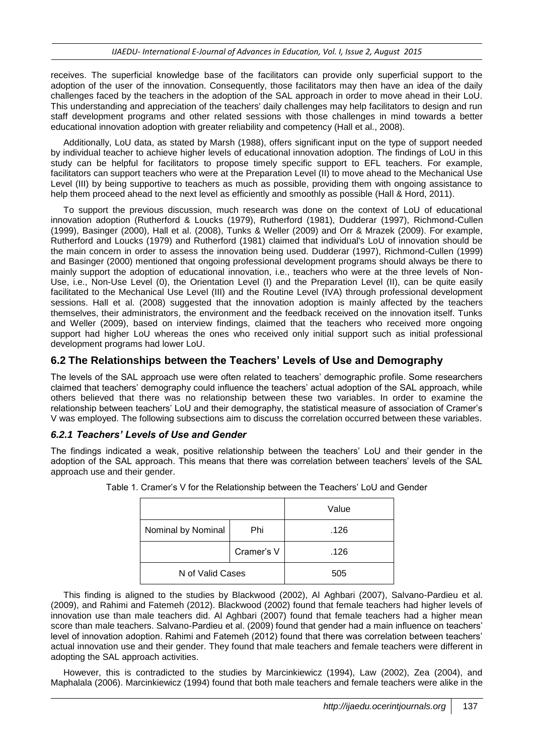receives. The superficial knowledge base of the facilitators can provide only superficial support to the adoption of the user of the innovation. Consequently, those facilitators may then have an idea of the daily challenges faced by the teachers in the adoption of the SAL approach in order to move ahead in their LoU. This understanding and appreciation of the teachers' daily challenges may help facilitators to design and run staff development programs and other related sessions with those challenges in mind towards a better educational innovation adoption with greater reliability and competency (Hall et al., 2008).

Additionally, LoU data, as stated by Marsh (1988), offers significant input on the type of support needed by individual teacher to achieve higher levels of educational innovation adoption. The findings of LoU in this study can be helpful for facilitators to propose timely specific support to EFL teachers. For example, facilitators can support teachers who were at the Preparation Level (II) to move ahead to the Mechanical Use Level (III) by being supportive to teachers as much as possible, providing them with ongoing assistance to help them proceed ahead to the next level as efficiently and smoothly as possible (Hall & Hord, 2011).

To support the previous discussion, much research was done on the context of LoU of educational innovation adoption (Rutherford & Loucks (1979), Rutherford (1981), Dudderar (1997), Richmond-Cullen (1999), Basinger (2000), Hall et al. (2008), Tunks & Weller (2009) and Orr & Mrazek (2009). For example, Rutherford and Loucks (1979) and Rutherford (1981) claimed that individual's LoU of innovation should be the main concern in order to assess the innovation being used. Dudderar (1997), Richmond-Cullen (1999) and Basinger (2000) mentioned that ongoing professional development programs should always be there to mainly support the adoption of educational innovation, i.e., teachers who were at the three levels of Non-Use, i.e., Non-Use Level (0), the Orientation Level (I) and the Preparation Level (II), can be quite easily facilitated to the Mechanical Use Level (III) and the Routine Level (IVA) through professional development sessions. Hall et al. (2008) suggested that the innovation adoption is mainly affected by the teachers themselves, their administrators, the environment and the feedback received on the innovation itself. Tunks and Weller (2009), based on interview findings, claimed that the teachers who received more ongoing support had higher LoU whereas the ones who received only initial support such as initial professional development programs had lower LoU.

#### **6.2 The Relationships between the Teachers' Levels of Use and Demography**

The levels of the SAL approach use were often related to teachers' demographic profile. Some researchers claimed that teachers' demography could influence the teachers' actual adoption of the SAL approach, while others believed that there was no relationship between these two variables. In order to examine the relationship between teachers' LoU and their demography, the statistical measure of association of Cramer's V was employed. The following subsections aim to discuss the correlation occurred between these variables.

#### *6.2.1 Teachers' Levels of Use and Gender*

The findings indicated a weak, positive relationship between the teachers' LoU and their gender in the adoption of the SAL approach. This means that there was correlation between teachers' levels of the SAL approach use and their gender.

|                    |            | Value |
|--------------------|------------|-------|
| Nominal by Nominal | Phi        | .126  |
|                    | Cramer's V | .126  |
| N of Valid Cases   |            | 505   |

Table 1. Cramer's V for the Relationship between the Teachers' LoU and Gender

This finding is aligned to the studies by Blackwood (2002), Al Aghbari (2007), Salvano-Pardieu et al. (2009), and Rahimi and Fatemeh (2012). Blackwood (2002) found that female teachers had higher levels of innovation use than male teachers did. Al Aghbari (2007) found that female teachers had a higher mean score than male teachers. Salvano-Pardieu et al. (2009) found that gender had a main influence on teachers' level of innovation adoption. Rahimi and Fatemeh (2012) found that there was correlation between teachers' actual innovation use and their gender. They found that male teachers and female teachers were different in adopting the SAL approach activities.

However, this is contradicted to the studies by Marcinkiewicz (1994), Law (2002), Zea (2004), and Maphalala (2006). Marcinkiewicz (1994) found that both male teachers and female teachers were alike in the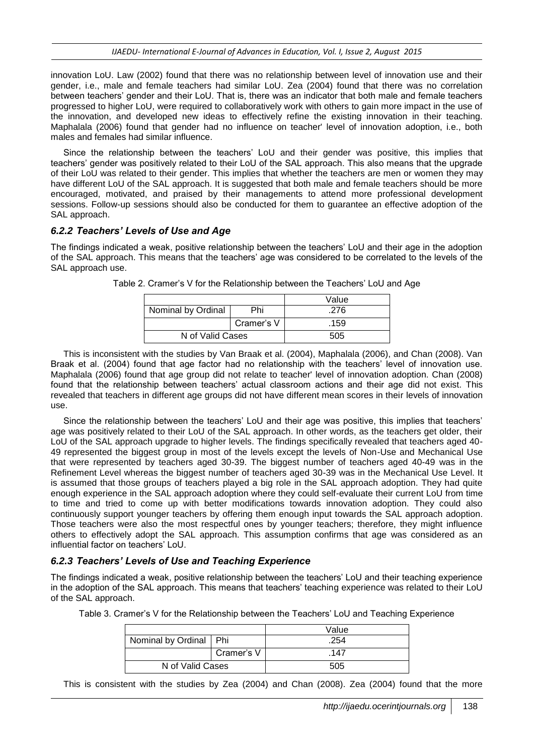innovation LoU. Law (2002) found that there was no relationship between level of innovation use and their gender, i.e., male and female teachers had similar LoU. Zea (2004) found that there was no correlation between teachers' gender and their LoU. That is, there was an indicator that both male and female teachers progressed to higher LoU, were required to collaboratively work with others to gain more impact in the use of the innovation, and developed new ideas to effectively refine the existing innovation in their teaching. Maphalala (2006) found that gender had no influence on teacher' level of innovation adoption, i.e., both males and females had similar influence.

Since the relationship between the teachers' LoU and their gender was positive, this implies that teachers' gender was positively related to their LoU of the SAL approach. This also means that the upgrade of their LoU was related to their gender. This implies that whether the teachers are men or women they may have different LoU of the SAL approach. It is suggested that both male and female teachers should be more encouraged, motivated, and praised by their managements to attend more professional development sessions. Follow-up sessions should also be conducted for them to guarantee an effective adoption of the SAL approach.

#### *6.2.2 Teachers' Levels of Use and Age*

The findings indicated a weak, positive relationship between the teachers' LoU and their age in the adoption of the SAL approach. This means that the teachers' age was considered to be correlated to the levels of the SAL approach use.

|                    |     | Value |
|--------------------|-----|-------|
| Nominal by Ordinal | Phi | .276  |
| Cramer's V         |     | .159  |
| N of Valid Cases   |     | 505   |

Table 2. Cramer's V for the Relationship between the Teachers' LoU and Age

This is inconsistent with the studies by Van Braak et al. (2004), Maphalala (2006), and Chan (2008). Van Braak et al. (2004) found that age factor had no relationship with the teachers' level of innovation use. Maphalala (2006) found that age group did not relate to teacher' level of innovation adoption. Chan (2008) found that the relationship between teachers' actual classroom actions and their age did not exist. This revealed that teachers in different age groups did not have different mean scores in their levels of innovation use.

Since the relationship between the teachers' LoU and their age was positive, this implies that teachers' age was positively related to their LoU of the SAL approach. In other words, as the teachers get older, their LoU of the SAL approach upgrade to higher levels. The findings specifically revealed that teachers aged 40- 49 represented the biggest group in most of the levels except the levels of Non-Use and Mechanical Use that were represented by teachers aged 30-39. The biggest number of teachers aged 40-49 was in the Refinement Level whereas the biggest number of teachers aged 30-39 was in the Mechanical Use Level. It is assumed that those groups of teachers played a big role in the SAL approach adoption. They had quite enough experience in the SAL approach adoption where they could self-evaluate their current LoU from time to time and tried to come up with better modifications towards innovation adoption. They could also continuously support younger teachers by offering them enough input towards the SAL approach adoption. Those teachers were also the most respectful ones by younger teachers; therefore, they might influence others to effectively adopt the SAL approach. This assumption confirms that age was considered as an influential factor on teachers' LoU.

#### *6.2.3 Teachers' Levels of Use and Teaching Experience*

The findings indicated a weak, positive relationship between the teachers' LoU and their teaching experience in the adoption of the SAL approach. This means that teachers' teaching experience was related to their LoU of the SAL approach.

| Table 3. Cramer's V for the Relationship between the Teachers' LoU and Teaching Experience |  |
|--------------------------------------------------------------------------------------------|--|
|--------------------------------------------------------------------------------------------|--|

|                          |            | Value |
|--------------------------|------------|-------|
| Nominal by Ordinal   Phi |            | .254  |
|                          | Cramer's V | .147  |
| N of Valid Cases         |            | 505   |

This is consistent with the studies by Zea (2004) and Chan (2008). Zea (2004) found that the more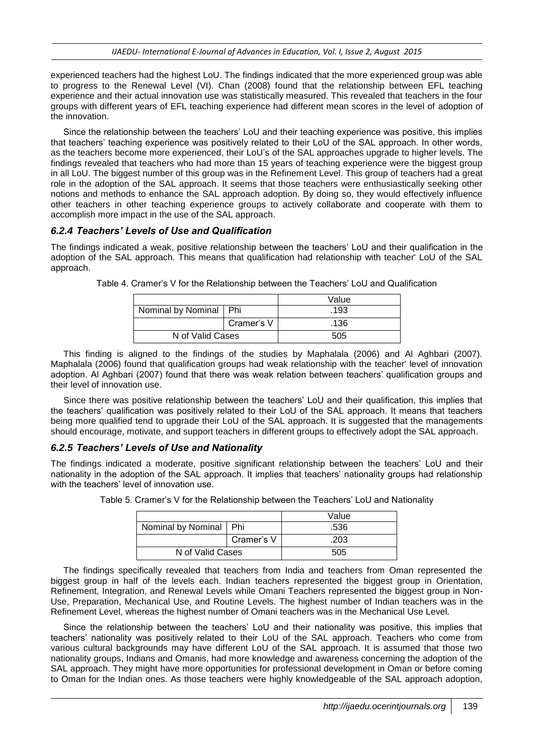experienced teachers had the highest LoU. The findings indicated that the more experienced group was able to progress to the Renewal Level (VI). Chan (2008) found that the relationship between EFL teaching experience and their actual innovation use was statistically measured. This revealed that teachers in the four groups with different years of EFL teaching experience had different mean scores in the level of adoption of the innovation.

Since the relationship between the teachers' LoU and their teaching experience was positive, this implies that teachers' teaching experience was positively related to their LoU of the SAL approach. In other words, as the teachers become more experienced, their LoU's of the SAL approaches upgrade to higher levels. The findings revealed that teachers who had more than 15 years of teaching experience were the biggest group in all LoU. The biggest number of this group was in the Refinement Level. This group of teachers had a great role in the adoption of the SAL approach. It seems that those teachers were enthusiastically seeking other notions and methods to enhance the SAL approach adoption. By doing so, they would effectively influence other teachers in other teaching experience groups to actively collaborate and cooperate with them to accomplish more impact in the use of the SAL approach.

#### *6.2.4 Teachers' Levels of Use and Qualification*

The findings indicated a weak, positive relationship between the teachers' LoU and their qualification in the adoption of the SAL approach. This means that qualification had relationship with teacher' LoU of the SAL approach.

|                          |            | Value |
|--------------------------|------------|-------|
| Nominal by Nominal   Phi |            | .193  |
|                          | Cramer's V | .136  |
| N of Valid Cases         |            | 505   |

Table 4. Cramer's V for the Relationship between the Teachers' LoU and Qualification

This finding is aligned to the findings of the studies by Maphalala (2006) and Al Aghbari (2007). Maphalala (2006) found that qualification groups had weak relationship with the teacher' level of innovation adoption. Al Aghbari (2007) found that there was weak relation between teachers' qualification groups and their level of innovation use.

Since there was positive relationship between the teachers' LoU and their qualification, this implies that the teachers' qualification was positively related to their LoU of the SAL approach. It means that teachers being more qualified tend to upgrade their LoU of the SAL approach. It is suggested that the managements should encourage, motivate, and support teachers in different groups to effectively adopt the SAL approach.

#### *6.2.5 Teachers' Levels of Use and Nationality*

The findings indicated a moderate, positive significant relationship between the teachers' LoU and their nationality in the adoption of the SAL approach. It implies that teachers' nationality groups had relationship with the teachers' level of innovation use.

|                          |            | Value |
|--------------------------|------------|-------|
| Nominal by Nominal   Phi |            | .536  |
|                          | Cramer's V | .203  |
| N of Valid Cases         |            | 505   |

Table 5. Cramer's V for the Relationship between the Teachers' LoU and Nationality

The findings specifically revealed that teachers from India and teachers from Oman represented the biggest group in half of the levels each. Indian teachers represented the biggest group in Orientation, Refinement, Integration, and Renewal Levels while Omani Teachers represented the biggest group in Non-Use, Preparation, Mechanical Use, and Routine Levels. The highest number of Indian teachers was in the Refinement Level, whereas the highest number of Omani teachers was in the Mechanical Use Level.

Since the relationship between the teachers' LoU and their nationality was positive, this implies that teachers' nationality was positively related to their LoU of the SAL approach. Teachers who come from various cultural backgrounds may have different LoU of the SAL approach. It is assumed that those two nationality groups, Indians and Omanis, had more knowledge and awareness concerning the adoption of the SAL approach. They might have more opportunities for professional development in Oman or before coming to Oman for the Indian ones. As those teachers were highly knowledgeable of the SAL approach adoption,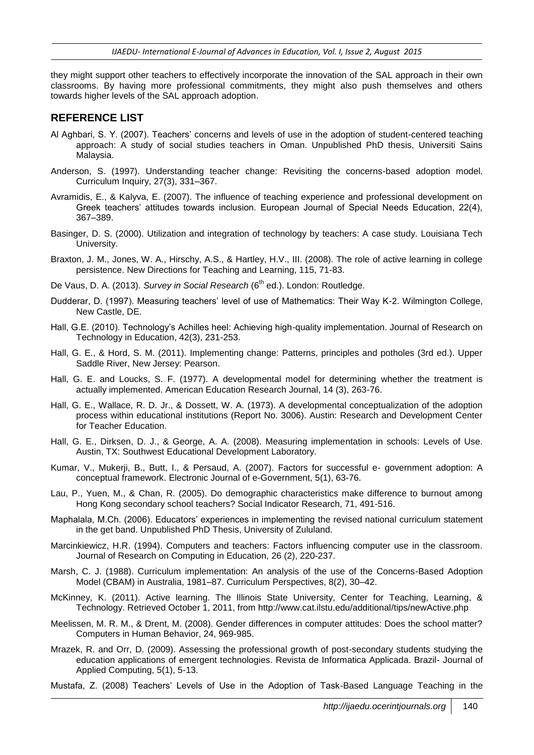they might support other teachers to effectively incorporate the innovation of the SAL approach in their own classrooms. By having more professional commitments, they might also push themselves and others towards higher levels of the SAL approach adoption.

#### **REFERENCE LIST**

- Al Aghbari, S. Y. (2007). Teachers' concerns and levels of use in the adoption of student-centered teaching approach: A study of social studies teachers in Oman. Unpublished PhD thesis, Universiti Sains Malaysia.
- Anderson, S. (1997). Understanding teacher change: Revisiting the concerns-based adoption model. Curriculum Inquiry, 27(3), 331–367.
- Avramidis, E., & Kalyva, E. (2007). The influence of teaching experience and professional development on Greek teachers' attitudes towards inclusion. European Journal of Special Needs Education, 22(4), 367–389.
- Basinger, D. S. (2000). Utilization and integration of technology by teachers: A case study. Louisiana Tech University.
- Braxton, J. M., Jones, W. A., Hirschy, A.S., & Hartley, H.V., III. (2008). The role of active learning in college persistence. New Directions for Teaching and Learning, 115, 71-83.
- De Vaus, D. A. (2013). *Survey in Social Research* (6<sup>th</sup> ed.). London: Routledge.
- Dudderar, D. (1997). Measuring teachers' level of use of Mathematics: Their Way K-2. Wilmington College, New Castle, DE.
- Hall, G.E. (2010). Technology's Achilles heel: Achieving high-quality implementation. Journal of Research on Technology in Education, 42(3), 231-253.
- Hall, G. E., & Hord, S. M. (2011). Implementing change: Patterns, principles and potholes (3rd ed.). Upper Saddle River, New Jersey: Pearson.
- Hall, G. E. and Loucks, S. F. (1977). A developmental model for determining whether the treatment is actually implemented. American Education Research Journal, 14 (3), 263-76.
- Hall, G. E., Wallace, R. D. Jr., & Dossett, W. A. (1973). A developmental conceptualization of the adoption process within educational institutions (Report No. 3006). Austin: Research and Development Center for Teacher Education.
- Hall, G. E., Dirksen, D. J., & George, A. A. (2008). Measuring implementation in schools: Levels of Use. Austin, TX: Southwest Educational Development Laboratory.
- Kumar, V., Mukerji, B., Butt, I., & Persaud, A. (2007). Factors for successful e- government adoption: A conceptual framework. Electronic Journal of e-Government, 5(1), 63-76.
- Lau, P., Yuen, M., & Chan, R. (2005). Do demographic characteristics make difference to burnout among Hong Kong secondary school teachers? Social Indicator Research, 71, 491-516.
- Maphalala, M.Ch. (2006). Educators' experiences in implementing the revised national curriculum statement in the get band. Unpublished PhD Thesis, University of Zululand.
- Marcinkiewicz, H.R. (1994). Computers and teachers: Factors influencing computer use in the classroom. Journal of Research on Computing in Education, 26 (2), 220-237.
- Marsh, C. J. (1988). Curriculum implementation: An analysis of the use of the Concerns-Based Adoption Model (CBAM) in Australia, 1981–87. Curriculum Perspectives, 8(2), 30–42.
- McKinney, K. (2011). Active learning. The Illinois State University, Center for Teaching, Learning, & Technology. Retrieved October 1, 2011, from http://www.cat.ilstu.edu/additional/tips/newActive.php
- Meelissen, M. R. M., & Drent, M. (2008). Gender differences in computer attitudes: Does the school matter? Computers in Human Behavior, 24, 969-985.
- Mrazek, R. and Orr, D. (2009). Assessing the professional growth of post-secondary students studying the education applications of emergent technologies. Revista de Informatica Applicada. Brazil- Journal of Applied Computing, 5(1), 5-13.
- Mustafa, Z. (2008) Teachers' Levels of Use in the Adoption of Task-Based Language Teaching in the